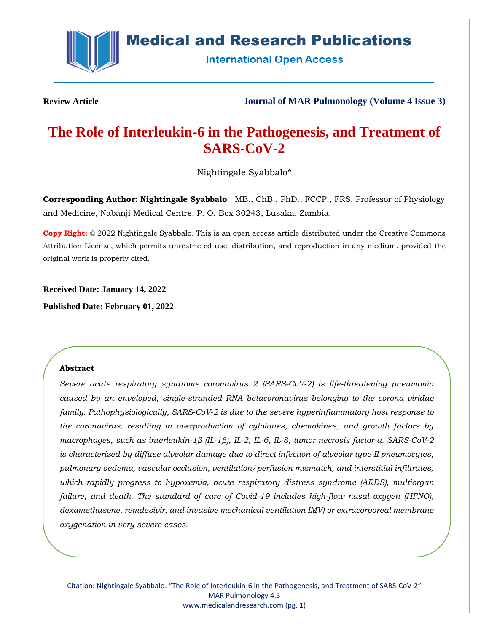

# **Medical and Research Publications**

**International Open Access** 

**Review Article Journal of MAR Pulmonology (Volume 4 Issue 3)**

# **The Role of Interleukin-6 in the Pathogenesis, and Treatment of SARS-CoV-2**

Nightingale Syabbalo\*

**Corresponding Author: Nightingale Syabbalo** MB., ChB., PhD., FCCP., FRS, Professor of Physiology and Medicine, Nabanji Medical Centre, P. O. Box 30243, Lusaka, Zambia.

**Copy Right:** © 2022 Nightingale Syabbalo. This is an open access article distributed under the Creative Commons Attribution License, which permits unrestricted use, distribution, and reproduction in any medium, provided the original work is properly cited.

**Received Date: January 14, 2022**

**Published Date: February 01, 2022**

# **Abstract**

*Severe acute respiratory syndrome coronavirus 2 (SARS-CoV-2) is life-threatening pneumonia caused by an enveloped, single-stranded RNA betacoronavirus belonging to the corona viridae family. Pathophysiologically, SARS-CoV-2 is due to the severe hyperinflammatory host response to the coronavirus, resulting in overproduction of cytokines, chemokines, and growth factors by macrophages, such as interleukin-1β (IL-1β), IL-2, IL-6, IL-8, tumor necrosis factor-α. SARS-CoV-2 is characterized by diffuse alveolar damage due to direct infection of alveolar type II pneumocytes, pulmonary oedema, vascular occlusion, ventilation/perfusion mismatch, and interstitial infiltrates, which rapidly progress to hypoxemia, acute respiratory distress syndrome (ARDS), multiorgan failure, and death. The standard of care of Covid-19 includes high-flow nasal oxygen (HFNO), dexamethasone, remdesivir, and invasive mechanical ventilation IMV) or extracorporeal membrane oxygenation in very severe cases.*

Citation: Nightingale Syabbalo. "The Role of Interleukin-6 in the Pathogenesis, and Treatment of SARS-CoV-2" MAR Pulmonology 4.3 [www.medicalandresearch.com](http://www.medicalandresearch.com/) (pg. 1)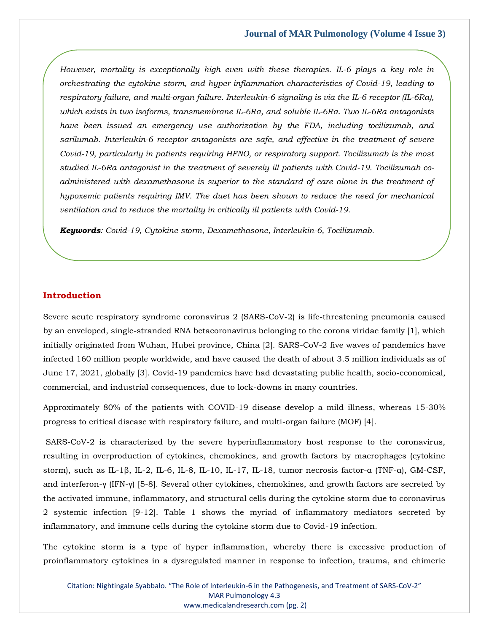*However, mortality is exceptionally high even with these therapies. IL-6 plays a key role in orchestrating the cytokine storm, and hyper inflammation characteristics of Covid-19, leading to respiratory failure, and multi-organ failure. Interleukin-6 signaling is via the IL-6 receptor (IL-6Rα), which exists in two isoforms, transmembrane IL-6Rα, and soluble IL-6Rα. Two IL-6Rα antagonists have been issued an emergency use authorization by the FDA, including tocilizumab, and sarilumab. Interleukin-6 receptor antagonists are safe, and effective in the treatment of severe Covid-19, particularly in patients requiring HFNO, or respiratory support. Tocilizumab is the most studied IL-6Rα antagonist in the treatment of severely ill patients with Covid-19. Tocilizumab coadministered with dexamethasone is superior to the standard of care alone in the treatment of hypoxemic patients requiring IMV. The duet has been shown to reduce the need for mechanical ventilation and to reduce the mortality in critically ill patients with Covid-19.*

*Keywords: Covid-19, Cytokine storm, Dexamethasone, Interleukin-6, Tocilizumab.*

### **Introduction**

Severe acute respiratory syndrome coronavirus 2 (SARS-CoV-2) is life-threatening pneumonia caused by an enveloped, single-stranded RNA betacoronavirus belonging to the corona viridae family [1], which initially originated from Wuhan, Hubei province, China [2]. SARS-CoV-2 five waves of pandemics have infected 160 million people worldwide, and have caused the death of about 3.5 million individuals as of June 17, 2021, globally [3]. Covid-19 pandemics have had devastating public health, socio-economical, commercial, and industrial consequences, due to lock-downs in many countries.

Approximately 80% of the patients with COVID-19 disease develop a mild illness, whereas 15-30% progress to critical disease with respiratory failure, and multi-organ failure (MOF) [4].

SARS-CoV-2 is characterized by the severe hyperinflammatory host response to the coronavirus, resulting in overproduction of cytokines, chemokines, and growth factors by macrophages (cytokine storm), such as IL-1β, IL-2, IL-6, IL-8, IL-10, IL-17, IL-18, tumor necrosis factor-α (TNF-α), GM-CSF, and interferon-γ (IFN-γ) [5-8]. Several other cytokines, chemokines, and growth factors are secreted by the activated immune, inflammatory, and structural cells during the cytokine storm due to coronavirus 2 systemic infection [9-12]. Table 1 shows the myriad of inflammatory mediators secreted by inflammatory, and immune cells during the cytokine storm due to Covid-19 infection.

The cytokine storm is a type of hyper inflammation, whereby there is excessive production of proinflammatory cytokines in a dysregulated manner in response to infection, trauma, and chimeric

Citation: Nightingale Syabbalo. "The Role of Interleukin-6 in the Pathogenesis, and Treatment of SARS-CoV-2" MAR Pulmonology 4.3 [www.medicalandresearch.com](http://www.medicalandresearch.com/) (pg. 2)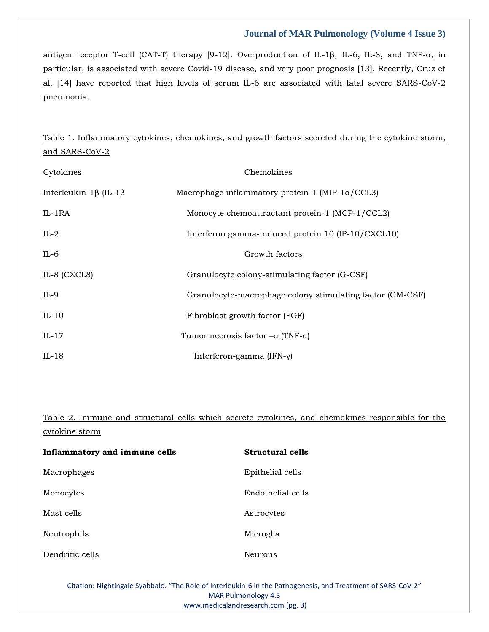antigen receptor T-cell (CAT-T) therapy [9-12]. Overproduction of IL-1β, IL-6, IL-8, and TNF-α, in particular, is associated with severe Covid-19 disease, and very poor prognosis [13]. Recently, Cruz et al. [14] have reported that high levels of serum IL-6 are associated with fatal severe SARS-CoV-2 pneumonia.

Table 1. Inflammatory cytokines, chemokines, and growth factors secreted during the cytokine storm, and SARS-CoV-2

| Cytokines                           | Chemokines                                                |  |  |
|-------------------------------------|-----------------------------------------------------------|--|--|
| Interleukin-1 $\beta$ (IL-1 $\beta$ | Macrophage inflammatory protein-1 (MIP-1a/CCL3)           |  |  |
| $IL-1RA$                            | Monocyte chemoattractant protein-1 (MCP-1/CCL2)           |  |  |
| $IL-2$                              | Interferon gamma-induced protein 10 (IP-10/CXCL10)        |  |  |
| $IL-6$                              | Growth factors                                            |  |  |
| IL-8 (CXCL8)                        | Granulocyte colony-stimulating factor (G-CSF)             |  |  |
| $IL-9$                              | Granulocyte-macrophage colony stimulating factor (GM-CSF) |  |  |
| $IL-10$                             | Fibroblast growth factor (FGF)                            |  |  |
| $IL-17$                             | Tumor necrosis factor $-a$ (TNF- $a$ )                    |  |  |
| $IL-18$                             | Interferon-gamma (IFN-γ)                                  |  |  |

Table 2. Immune and structural cells which secrete cytokines, and chemokines responsible for the cytokine storm

| Inflammatory and immune cells | Structural cells  |
|-------------------------------|-------------------|
| Macrophages                   | Epithelial cells  |
| Monocytes                     | Endothelial cells |
| Mast cells                    | Astrocytes        |
| Neutrophils                   | Microglia         |
| Dendritic cells               | Neurons           |

Citation: Nightingale Syabbalo. "The Role of Interleukin-6 in the Pathogenesis, and Treatment of SARS-CoV-2" MAR Pulmonology 4.3 [www.medicalandresearch.com](http://www.medicalandresearch.com/) (pg. 3)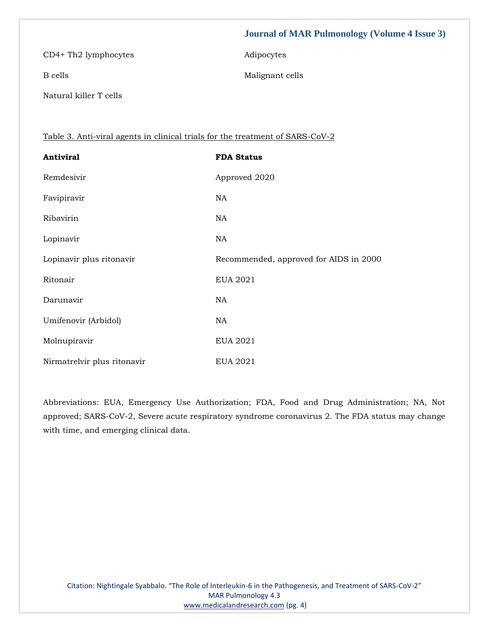CD4+ Th2 lymphocytes Adipocytes

B cells Malignant cells

Natural killer T cells

Table 3. Anti-viral agents in clinical trials for the treatment of SARS-CoV-2

| <b>Antiviral</b>            | <b>FDA Status</b>                      |
|-----------------------------|----------------------------------------|
| Remdesivir                  | Approved 2020                          |
| Favipiravir                 | NA                                     |
| Ribavirin                   | NA                                     |
| Lopinavir                   | NA.                                    |
| Lopinavir plus ritonavir    | Recommended, approved for AIDS in 2000 |
| Ritonair                    | <b>EUA 2021</b>                        |
| Darunavir                   | NA                                     |
| Umifenovir (Arbidol)        | NA                                     |
| Molnupiravir                | <b>EUA 2021</b>                        |
| Nirmatrelvir plus ritonavir | EUA 2021                               |

Abbreviations: EUA, Emergency Use Authorization; FDA, Food and Drug Administration; NA, Not approved; SARS-CoV-2, Severe acute respiratory syndrome coronavirus 2. The FDA status may change with time, and emerging clinical data.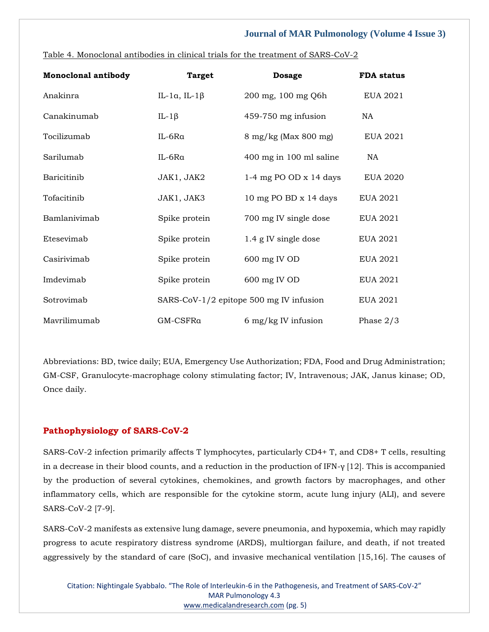| <b>Monoclonal antibody</b> | <b>Target</b>                | <b>Dosage</b>                           | <b>FDA</b> status |
|----------------------------|------------------------------|-----------------------------------------|-------------------|
| Anakinra                   | IL-1 $\alpha$ , IL-1 $\beta$ | 200 mg, 100 mg Q6h                      | EUA 2021          |
| Canakinumab                | IL-1 $\beta$                 | 459-750 mg infusion                     | NA.               |
| Tocilizumab                | IL-6Ra                       | 8 mg/kg (Max 800 mg)                    | <b>EUA 2021</b>   |
| Sarilumab                  | IL-6Ra                       | 400 mg in 100 ml saline                 | NA.               |
| Baricitinib                | JAK1, JAK2                   | 1-4 mg PO OD $x$ 14 days                | <b>EUA 2020</b>   |
| Tofacitinib                | JAK1, JAK3                   | 10 mg PO BD $x$ 14 days                 | EUA 2021          |
| Bamlanivimab               | Spike protein                | 700 mg IV single dose                   | EUA 2021          |
| Etesevimab                 | Spike protein                | 1.4 g IV single dose                    | <b>EUA 2021</b>   |
| Casirivimab                | Spike protein                | 600 mg IV OD                            | <b>EUA 2021</b>   |
| Imdevimab                  | Spike protein                | 600 mg IV OD                            | <b>EUA 2021</b>   |
| Sotrovimab                 |                              | SARS-CoV-1/2 epitope 500 mg IV infusion | EUA 2021          |
| Mavrilimumab               | GM-CSFRa                     | $6 \text{ mg/kg}$ IV infusion           | Phase $2/3$       |

Table 4. Monoclonal antibodies in clinical trials for the treatment of SARS-CoV-2

Abbreviations: BD, twice daily; EUA, Emergency Use Authorization; FDA, Food and Drug Administration; GM-CSF, Granulocyte-macrophage colony stimulating factor; IV, Intravenous; JAK, Janus kinase; OD, Once daily.

# **Pathophysiology of SARS-CoV-2**

SARS-CoV-2 infection primarily affects T lymphocytes, particularly CD4+ T, and CD8+ T cells, resulting in a decrease in their blood counts, and a reduction in the production of IFN- $\gamma$  [12]. This is accompanied by the production of several cytokines, chemokines, and growth factors by macrophages, and other inflammatory cells, which are responsible for the cytokine storm, acute lung injury (ALI), and severe SARS-CoV-2 [7-9].

SARS-CoV-2 manifests as extensive lung damage, severe pneumonia, and hypoxemia, which may rapidly progress to acute respiratory distress syndrome (ARDS), multiorgan failure, and death, if not treated aggressively by the standard of care (SoC), and invasive mechanical ventilation [15,16]. The causes of

Citation: Nightingale Syabbalo. "The Role of Interleukin-6 in the Pathogenesis, and Treatment of SARS-CoV-2" MAR Pulmonology 4.3 [www.medicalandresearch.com](http://www.medicalandresearch.com/) (pg. 5)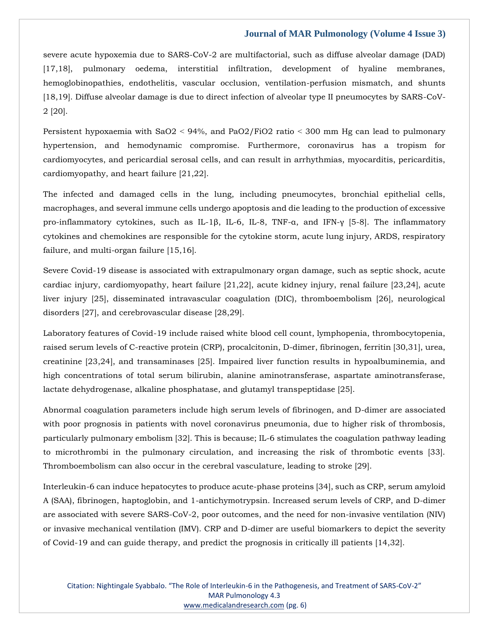severe acute hypoxemia due to SARS-CoV-2 are multifactorial, such as diffuse alveolar damage (DAD) [17,18], pulmonary oedema, interstitial infiltration, development of hyaline membranes, hemoglobinopathies, endothelitis, vascular occlusion, ventilation-perfusion mismatch, and shunts [18,19]. Diffuse alveolar damage is due to direct infection of alveolar type II pneumocytes by SARS-CoV-2 [20].

Persistent hypoxaemia with SaO2 ˂ 94%, and PaO2/FiO2 ratio ˂ 300 mm Hg can lead to pulmonary hypertension, and hemodynamic compromise. Furthermore, coronavirus has a tropism for cardiomyocytes, and pericardial serosal cells, and can result in arrhythmias, myocarditis, pericarditis, cardiomyopathy, and heart failure [21,22].

The infected and damaged cells in the lung, including pneumocytes, bronchial epithelial cells, macrophages, and several immune cells undergo apoptosis and die leading to the production of excessive pro-inflammatory cytokines, such as IL-1β, IL-6, IL-8, TNF-α, and IFN-γ [5-8]. The inflammatory cytokines and chemokines are responsible for the cytokine storm, acute lung injury, ARDS, respiratory failure, and multi-organ failure [15,16].

Severe Covid-19 disease is associated with extrapulmonary organ damage, such as septic shock, acute cardiac injury, cardiomyopathy, heart failure [21,22], acute kidney injury, renal failure [23,24], acute liver injury [25], disseminated intravascular coagulation (DIC), thromboembolism [26], neurological disorders [27], and cerebrovascular disease [28,29].

Laboratory features of Covid-19 include raised white blood cell count, lymphopenia, thrombocytopenia, raised serum levels of C-reactive protein (CRP), procalcitonin, D-dimer, fibrinogen, ferritin [30,31], urea, creatinine [23,24], and transaminases [25]. Impaired liver function results in hypoalbuminemia, and high concentrations of total serum bilirubin, alanine aminotransferase, aspartate aminotransferase, lactate dehydrogenase, alkaline phosphatase, and glutamyl transpeptidase [25].

Abnormal coagulation parameters include high serum levels of fibrinogen, and D-dimer are associated with poor prognosis in patients with novel coronavirus pneumonia, due to higher risk of thrombosis, particularly pulmonary embolism [32]. This is because; IL-6 stimulates the coagulation pathway leading to microthrombi in the pulmonary circulation, and increasing the risk of thrombotic events [33]. Thromboembolism can also occur in the cerebral vasculature, leading to stroke [29].

Interleukin-6 can induce hepatocytes to produce acute-phase proteins [34], such as CRP, serum amyloid A (SAA), fibrinogen, haptoglobin, and 1-antichymotrypsin. Increased serum levels of CRP, and D-dimer are associated with severe SARS-CoV-2, poor outcomes, and the need for non-invasive ventilation (NIV) or invasive mechanical ventilation (IMV). CRP and D-dimer are useful biomarkers to depict the severity of Covid-19 and can guide therapy, and predict the prognosis in critically ill patients [14,32].

Citation: Nightingale Syabbalo. "The Role of Interleukin-6 in the Pathogenesis, and Treatment of SARS-CoV-2" MAR Pulmonology 4.3 [www.medicalandresearch.com](http://www.medicalandresearch.com/) (pg. 6)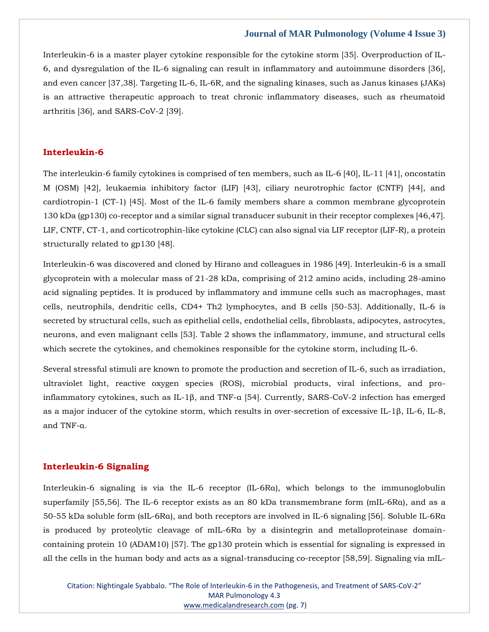Interleukin-6 is a master player cytokine responsible for the cytokine storm [35]. Overproduction of IL-6, and dysregulation of the IL-6 signaling can result in inflammatory and autoimmune disorders [36], and even cancer [37,38]. Targeting IL-6, IL-6R, and the signaling kinases, such as Janus kinases (JAKs) is an attractive therapeutic approach to treat chronic inflammatory diseases, such as rheumatoid arthritis [36], and SARS-CoV-2 [39].

#### **Interleukin-6**

The interleukin-6 family cytokines is comprised of ten members, such as IL-6 [40], IL-11 [41], oncostatin M (OSM) [42], leukaemia inhibitory factor (LIF) [43], ciliary neurotrophic factor (CNTF) [44], and cardiotropin-1 (CT-1) [45]. Most of the IL-6 family members share a common membrane glycoprotein 130 kDa (gp130) co-receptor and a similar signal transducer subunit in their receptor complexes [46,47]. LIF, CNTF, CT-1, and corticotrophin-like cytokine (CLC) can also signal via LIF receptor (LIF-R), a protein structurally related to gp130 [48].

Interleukin-6 was discovered and cloned by Hirano and colleagues in 1986 [49]. Interleukin-6 is a small glycoprotein with a molecular mass of 21-28 kDa, comprising of 212 amino acids, including 28-amino acid signaling peptides. It is produced by inflammatory and immune cells such as macrophages, mast cells, neutrophils, dendritic cells, CD4+ Th2 lymphocytes, and B cells [50-53]. Additionally, IL-6 is secreted by structural cells, such as epithelial cells, endothelial cells, fibroblasts, adipocytes, astrocytes, neurons, and even malignant cells [53]. Table 2 shows the inflammatory, immune, and structural cells which secrete the cytokines, and chemokines responsible for the cytokine storm, including IL-6.

Several stressful stimuli are known to promote the production and secretion of IL-6, such as irradiation, ultraviolet light, reactive oxygen species (ROS), microbial products, viral infections, and proinflammatory cytokines, such as IL-1β, and TNF-α [54]. Currently, SARS-CoV-2 infection has emerged as a major inducer of the cytokine storm, which results in over-secretion of excessive IL-1β, IL-6, IL-8, and TNF-α.

#### **Interleukin-6 Signaling**

Interleukin-6 signaling is via the IL-6 receptor (IL-6Rα), which belongs to the immunoglobulin superfamily [55,56]. The IL-6 receptor exists as an 80 kDa transmembrane form (mIL-6Rα), and as a 50-55 kDa soluble form (sIL-6Rα), and both receptors are involved in IL-6 signaling [56]. Soluble IL-6Rα is produced by proteolytic cleavage of mIL-6Rα by a disintegrin and metalloproteinase domaincontaining protein 10 (ADAM10) [57]. The gp130 protein which is essential for signaling is expressed in all the cells in the human body and acts as a signal-transducing co-receptor [58,59]. Signaling via mIL-

Citation: Nightingale Syabbalo. "The Role of Interleukin-6 in the Pathogenesis, and Treatment of SARS-CoV-2" MAR Pulmonology 4.3 [www.medicalandresearch.com](http://www.medicalandresearch.com/) (pg. 7)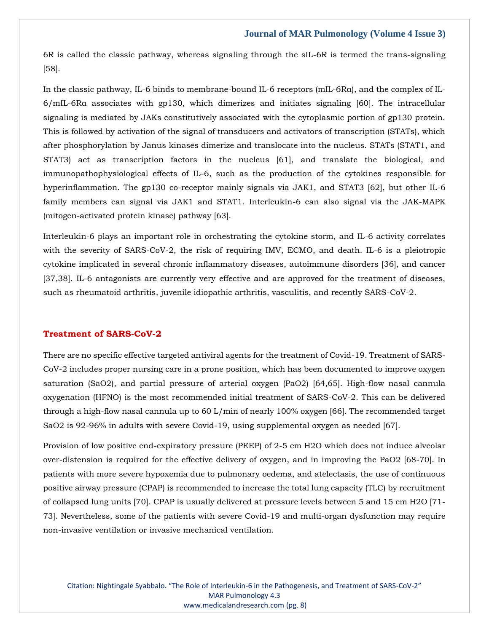6R is called the classic pathway, whereas signaling through the sIL-6R is termed the trans-signaling [58].

In the classic pathway, IL-6 binds to membrane-bound IL-6 receptors (mIL-6Rα), and the complex of IL-6/mIL-6Rα associates with gp130, which dimerizes and initiates signaling [60]. The intracellular signaling is mediated by JAKs constitutively associated with the cytoplasmic portion of gp130 protein. This is followed by activation of the signal of transducers and activators of transcription (STATs), which after phosphorylation by Janus kinases dimerize and translocate into the nucleus. STATs (STAT1, and STAT3) act as transcription factors in the nucleus [61], and translate the biological, and immunopathophysiological effects of IL-6, such as the production of the cytokines responsible for hyperinflammation. The gp130 co-receptor mainly signals via JAK1, and STAT3 [62], but other IL-6 family members can signal via JAK1 and STAT1. Interleukin-6 can also signal via the JAK-MAPK (mitogen-activated protein kinase) pathway [63].

Interleukin-6 plays an important role in orchestrating the cytokine storm, and IL-6 activity correlates with the severity of SARS-CoV-2, the risk of requiring IMV, ECMO, and death. IL-6 is a pleiotropic cytokine implicated in several chronic inflammatory diseases, autoimmune disorders [36], and cancer [37,38]. IL-6 antagonists are currently very effective and are approved for the treatment of diseases, such as rheumatoid arthritis, juvenile idiopathic arthritis, vasculitis, and recently SARS-CoV-2.

## **Treatment of SARS-CoV-2**

There are no specific effective targeted antiviral agents for the treatment of Covid-19. Treatment of SARS-CoV-2 includes proper nursing care in a prone position, which has been documented to improve oxygen saturation (SaO2), and partial pressure of arterial oxygen (PaO2) [64,65]. High-flow nasal cannula oxygenation (HFNO) is the most recommended initial treatment of SARS-CoV-2. This can be delivered through a high-flow nasal cannula up to 60 L/min of nearly 100% oxygen [66]. The recommended target SaO2 is 92-96% in adults with severe Covid-19, using supplemental oxygen as needed [67].

Provision of low positive end-expiratory pressure (PEEP) of 2-5 cm H2O which does not induce alveolar over-distension is required for the effective delivery of oxygen, and in improving the PaO2 [68-70]. In patients with more severe hypoxemia due to pulmonary oedema, and atelectasis, the use of continuous positive airway pressure (CPAP) is recommended to increase the total lung capacity (TLC) by recruitment of collapsed lung units [70]. CPAP is usually delivered at pressure levels between 5 and 15 cm H2O [71- 73]. Nevertheless, some of the patients with severe Covid-19 and multi-organ dysfunction may require non-invasive ventilation or invasive mechanical ventilation.

Citation: Nightingale Syabbalo. "The Role of Interleukin-6 in the Pathogenesis, and Treatment of SARS-CoV-2" MAR Pulmonology 4.3 [www.medicalandresearch.com](http://www.medicalandresearch.com/) (pg. 8)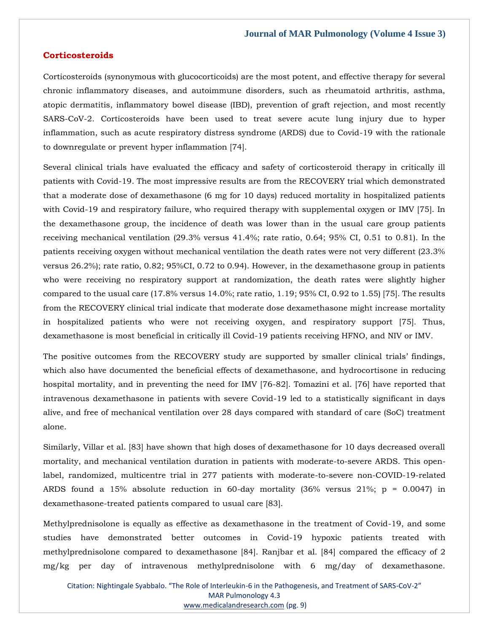#### **Corticosteroids**

Corticosteroids (synonymous with glucocorticoids) are the most potent, and effective therapy for several chronic inflammatory diseases, and autoimmune disorders, such as rheumatoid arthritis, asthma, atopic dermatitis, inflammatory bowel disease (IBD), prevention of graft rejection, and most recently SARS-CoV-2. Corticosteroids have been used to treat severe acute lung injury due to hyper inflammation, such as acute respiratory distress syndrome (ARDS) due to Covid-19 with the rationale to downregulate or prevent hyper inflammation [74].

Several clinical trials have evaluated the efficacy and safety of corticosteroid therapy in critically ill patients with Covid-19. The most impressive results are from the RECOVERY trial which demonstrated that a moderate dose of dexamethasone (6 mg for 10 days) reduced mortality in hospitalized patients with Covid-19 and respiratory failure, who required therapy with supplemental oxygen or IMV [75]. In the dexamethasone group, the incidence of death was lower than in the usual care group patients receiving mechanical ventilation (29.3% versus 41.4%; rate ratio, 0.64; 95% CI, 0.51 to 0.81). In the patients receiving oxygen without mechanical ventilation the death rates were not very different (23.3% versus 26.2%); rate ratio, 0.82; 95%CI, 0.72 to 0.94). However, in the dexamethasone group in patients who were receiving no respiratory support at randomization, the death rates were slightly higher compared to the usual care (17.8% versus 14.0%; rate ratio, 1.19; 95% CI, 0.92 to 1.55) [75]. The results from the RECOVERY clinical trial indicate that moderate dose dexamethasone might increase mortality in hospitalized patients who were not receiving oxygen, and respiratory support [75]. Thus, dexamethasone is most beneficial in critically ill Covid-19 patients receiving HFNO, and NIV or IMV.

The positive outcomes from the RECOVERY study are supported by smaller clinical trials' findings, which also have documented the beneficial effects of dexamethasone, and hydrocortisone in reducing hospital mortality, and in preventing the need for IMV [76-82]. Tomazini et al. [76] have reported that intravenous dexamethasone in patients with severe Covid-19 led to a statistically significant in days alive, and free of mechanical ventilation over 28 days compared with standard of care (SoC) treatment alone.

Similarly, Villar et al. [83] have shown that high doses of dexamethasone for 10 days decreased overall mortality, and mechanical ventilation duration in patients with moderate-to-severe ARDS. This openlabel, randomized, multicentre trial in 277 patients with moderate-to-severe non-COVID-19-related ARDS found a 15% absolute reduction in 60-day mortality  $(36\% \text{ versus } 21\%; \text{ p} = 0.0047)$  in dexamethasone-treated patients compared to usual care [83].

Methylprednisolone is equally as effective as dexamethasone in the treatment of Covid-19, and some studies have demonstrated better outcomes in Covid-19 hypoxic patients treated with methylprednisolone compared to dexamethasone [84]. Ranjbar et al. [84] compared the efficacy of 2 mg/kg per day of intravenous methylprednisolone with 6 mg/day of dexamethasone.

Citation: Nightingale Syabbalo. "The Role of Interleukin-6 in the Pathogenesis, and Treatment of SARS-CoV-2" MAR Pulmonology 4.3 [www.medicalandresearch.com](http://www.medicalandresearch.com/) (pg. 9)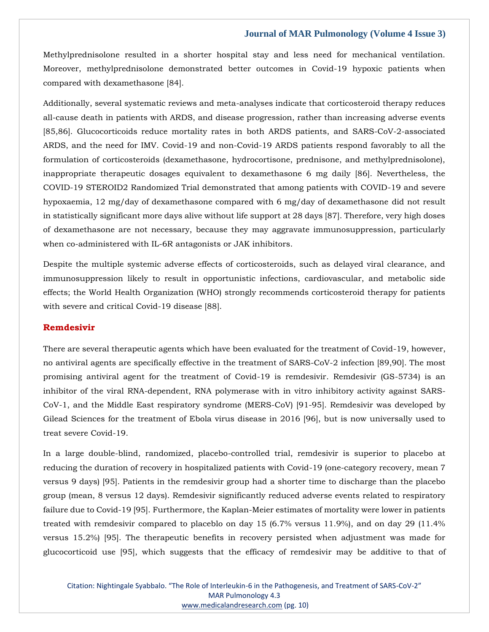Methylprednisolone resulted in a shorter hospital stay and less need for mechanical ventilation. Moreover, methylprednisolone demonstrated better outcomes in Covid-19 hypoxic patients when compared with dexamethasone [84].

Additionally, several systematic reviews and meta-analyses indicate that corticosteroid therapy reduces all-cause death in patients with ARDS, and disease progression, rather than increasing adverse events [85,86]. Glucocorticoids reduce mortality rates in both ARDS patients, and SARS-CoV-2-associated ARDS, and the need for IMV. Covid-19 and non-Covid-19 ARDS patients respond favorably to all the formulation of corticosteroids (dexamethasone, hydrocortisone, prednisone, and methylprednisolone), inappropriate therapeutic dosages equivalent to dexamethasone 6 mg daily [86]. Nevertheless, the COVID-19 STEROID2 Randomized Trial demonstrated that among patients with COVID-19 and severe hypoxaemia, 12 mg/day of dexamethasone compared with 6 mg/day of dexamethasone did not result in statistically significant more days alive without life support at 28 days [87]. Therefore, very high doses of dexamethasone are not necessary, because they may aggravate immunosuppression, particularly when co-administered with IL-6R antagonists or JAK inhibitors.

Despite the multiple systemic adverse effects of corticosteroids, such as delayed viral clearance, and immunosuppression likely to result in opportunistic infections, cardiovascular, and metabolic side effects; the World Health Organization (WHO) strongly recommends corticosteroid therapy for patients with severe and critical Covid-19 disease [88].

### **Remdesivir**

There are several therapeutic agents which have been evaluated for the treatment of Covid-19, however, no antiviral agents are specifically effective in the treatment of SARS-CoV-2 infection [89,90]. The most promising antiviral agent for the treatment of Covid-19 is remdesivir. Remdesivir (GS-5734) is an inhibitor of the viral RNA-dependent, RNA polymerase with in vitro inhibitory activity against SARS-CoV-1, and the Middle East respiratory syndrome (MERS-CoV) [91-95]. Remdesivir was developed by Gilead Sciences for the treatment of Ebola virus disease in 2016 [96], but is now universally used to treat severe Covid-19.

In a large double-blind, randomized, placebo-controlled trial, remdesivir is superior to placebo at reducing the duration of recovery in hospitalized patients with Covid-19 (one-category recovery, mean 7 versus 9 days) [95]. Patients in the remdesivir group had a shorter time to discharge than the placebo group (mean, 8 versus 12 days). Remdesivir significantly reduced adverse events related to respiratory failure due to Covid-19 [95]. Furthermore, the Kaplan-Meier estimates of mortality were lower in patients treated with remdesivir compared to placeblo on day 15 (6.7% versus 11.9%), and on day 29 (11.4% versus 15.2%) [95]. The therapeutic benefits in recovery persisted when adjustment was made for glucocorticoid use [95], which suggests that the efficacy of remdesivir may be additive to that of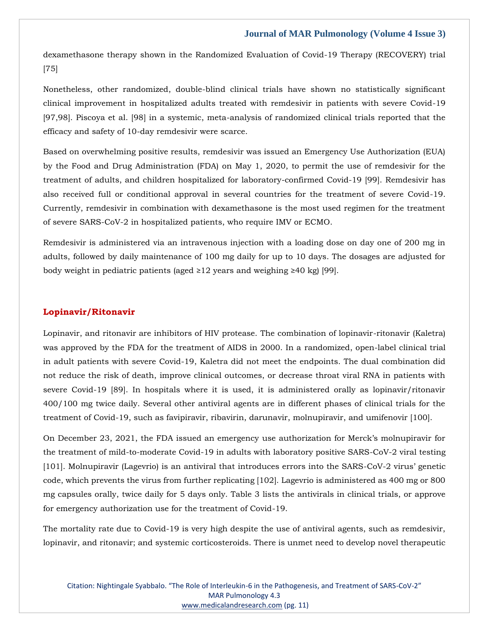dexamethasone therapy shown in the Randomized Evaluation of Covid-19 Therapy (RECOVERY) trial [75]

Nonetheless, other randomized, double-blind clinical trials have shown no statistically significant clinical improvement in hospitalized adults treated with remdesivir in patients with severe Covid-19 [97,98]. Piscoya et al. [98] in a systemic, meta-analysis of randomized clinical trials reported that the efficacy and safety of 10-day remdesivir were scarce.

Based on overwhelming positive results, remdesivir was issued an Emergency Use Authorization (EUA) by the Food and Drug Administration (FDA) on May 1, 2020, to permit the use of remdesivir for the treatment of adults, and children hospitalized for laboratory-confirmed Covid-19 [99]. Remdesivir has also received full or conditional approval in several countries for the treatment of severe Covid-19. Currently, remdesivir in combination with dexamethasone is the most used regimen for the treatment of severe SARS-CoV-2 in hospitalized patients, who require IMV or ECMO.

Remdesivir is administered via an intravenous injection with a loading dose on day one of 200 mg in adults, followed by daily maintenance of 100 mg daily for up to 10 days. The dosages are adjusted for body weight in pediatric patients (aged ≥12 years and weighing ≥40 kg) [99].

#### **Lopinavir/Ritonavir**

Lopinavir, and ritonavir are inhibitors of HIV protease. The combination of lopinavir-ritonavir (Kaletra) was approved by the FDA for the treatment of AIDS in 2000. In a randomized, open-label clinical trial in adult patients with severe Covid-19, Kaletra did not meet the endpoints. The dual combination did not reduce the risk of death, improve clinical outcomes, or decrease throat viral RNA in patients with severe Covid-19 [89]. In hospitals where it is used, it is administered orally as lopinavir/ritonavir 400/100 mg twice daily. Several other antiviral agents are in different phases of clinical trials for the treatment of Covid-19, such as favipiravir, ribavirin, darunavir, molnupiravir, and umifenovir [100].

On December 23, 2021, the FDA issued an emergency use authorization for Merck's molnupiravir for the treatment of mild-to-moderate Covid-19 in adults with laboratory positive SARS-CoV-2 viral testing [101]. Molnupiravir (Lagevrio) is an antiviral that introduces errors into the SARS-CoV-2 virus' genetic code, which prevents the virus from further replicating [102]. Lagevrio is administered as 400 mg or 800 mg capsules orally, twice daily for 5 days only. Table 3 lists the antivirals in clinical trials, or approve for emergency authorization use for the treatment of Covid-19.

The mortality rate due to Covid-19 is very high despite the use of antiviral agents, such as remdesivir, lopinavir, and ritonavir; and systemic corticosteroids. There is unmet need to develop novel therapeutic

Citation: Nightingale Syabbalo. "The Role of Interleukin-6 in the Pathogenesis, and Treatment of SARS-CoV-2" MAR Pulmonology 4.3 [www.medicalandresearch.com](http://www.medicalandresearch.com/) (pg. 11)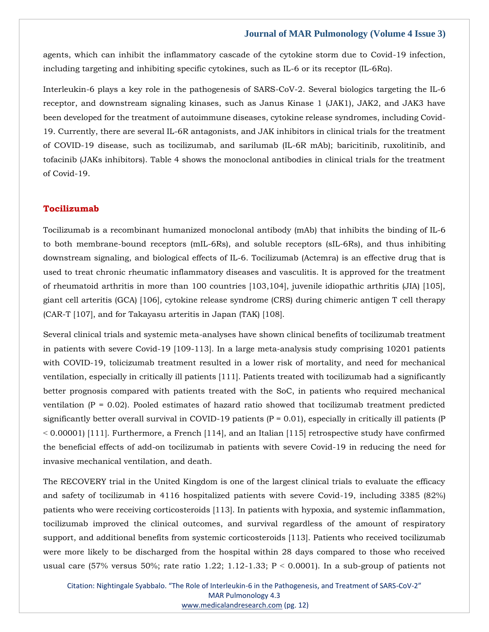agents, which can inhibit the inflammatory cascade of the cytokine storm due to Covid-19 infection, including targeting and inhibiting specific cytokines, such as IL-6 or its receptor (IL-6Rα).

Interleukin-6 plays a key role in the pathogenesis of SARS-CoV-2. Several biologics targeting the IL-6 receptor, and downstream signaling kinases, such as Janus Kinase 1 (JAK1), JAK2, and JAK3 have been developed for the treatment of autoimmune diseases, cytokine release syndromes, including Covid-19. Currently, there are several IL-6R antagonists, and JAK inhibitors in clinical trials for the treatment of COVID-19 disease, such as tocilizumab, and sarilumab (IL-6R mAb); baricitinib, ruxolitinib, and tofacinib (JAKs inhibitors). Table 4 shows the monoclonal antibodies in clinical trials for the treatment of Covid-19.

#### **Tocilizumab**

Tocilizumab is a recombinant humanized monoclonal antibody (mAb) that inhibits the binding of IL-6 to both membrane-bound receptors (mIL-6Rs), and soluble receptors (sIL-6Rs), and thus inhibiting downstream signaling, and biological effects of IL-6. Tocilizumab (Actemra) is an effective drug that is used to treat chronic rheumatic inflammatory diseases and vasculitis. It is approved for the treatment of rheumatoid arthritis in more than 100 countries [103,104], juvenile idiopathic arthritis (JIA) [105], giant cell arteritis (GCA) [106], cytokine release syndrome (CRS) during chimeric antigen T cell therapy (CAR-T [107], and for Takayasu arteritis in Japan (TAK) [108].

Several clinical trials and systemic meta-analyses have shown clinical benefits of tocilizumab treatment in patients with severe Covid-19 [109-113]. In a large meta-analysis study comprising 10201 patients with COVID-19, tolicizumab treatment resulted in a lower risk of mortality, and need for mechanical ventilation, especially in critically ill patients [111]. Patients treated with tocilizumab had a significantly better prognosis compared with patients treated with the SoC, in patients who required mechanical ventilation  $(P = 0.02)$ . Pooled estimates of hazard ratio showed that tocilizumab treatment predicted significantly better overall survival in COVID-19 patients  $(P = 0.01)$ , especially in critically ill patients  $(P = 0.01)$  $<$  0.00001) [111]. Furthermore, a French [114], and an Italian [115] retrospective study have confirmed the beneficial effects of add-on tocilizumab in patients with severe Covid-19 in reducing the need for invasive mechanical ventilation, and death.

The RECOVERY trial in the United Kingdom is one of the largest clinical trials to evaluate the efficacy and safety of tocilizumab in 4116 hospitalized patients with severe Covid-19, including 3385 (82%) patients who were receiving corticosteroids [113]. In patients with hypoxia, and systemic inflammation, tocilizumab improved the clinical outcomes, and survival regardless of the amount of respiratory support, and additional benefits from systemic corticosteroids [113]. Patients who received tocilizumab were more likely to be discharged from the hospital within 28 days compared to those who received usual care (57% versus 50%; rate ratio 1.22; 1.12-1.33;  $P < 0.0001$ ). In a sub-group of patients not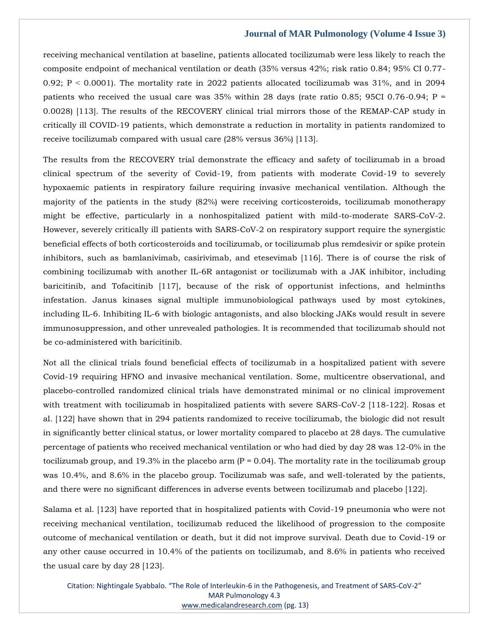receiving mechanical ventilation at baseline, patients allocated tocilizumab were less likely to reach the composite endpoint of mechanical ventilation or death (35% versus 42%; risk ratio 0.84; 95% CI 0.77- 0.92; P ˂ 0.0001). The mortality rate in 2022 patients allocated tocilizumab was 31%, and in 2094 patients who received the usual care was  $35\%$  within 28 days (rate ratio 0.85; 95CI 0.76-0.94; P = 0.0028) [113]. The results of the RECOVERY clinical trial mirrors those of the REMAP-CAP study in critically ill COVID-19 patients, which demonstrate a reduction in mortality in patients randomized to receive tocilizumab compared with usual care (28% versus 36%) [113].

The results from the RECOVERY trial demonstrate the efficacy and safety of tocilizumab in a broad clinical spectrum of the severity of Covid-19, from patients with moderate Covid-19 to severely hypoxaemic patients in respiratory failure requiring invasive mechanical ventilation. Although the majority of the patients in the study (82%) were receiving corticosteroids, tocilizumab monotherapy might be effective, particularly in a nonhospitalized patient with mild-to-moderate SARS-CoV-2. However, severely critically ill patients with SARS-CoV-2 on respiratory support require the synergistic beneficial effects of both corticosteroids and tocilizumab, or tocilizumab plus remdesivir or spike protein inhibitors, such as bamlanivimab, casirivimab, and etesevimab [116]. There is of course the risk of combining tocilizumab with another IL-6R antagonist or tocilizumab with a JAK inhibitor, including baricitinib, and Tofacitinib [117], because of the risk of opportunist infections, and helminths infestation. Janus kinases signal multiple immunobiological pathways used by most cytokines, including IL-6. Inhibiting IL-6 with biologic antagonists, and also blocking JAKs would result in severe immunosuppression, and other unrevealed pathologies. It is recommended that tocilizumab should not be co-administered with baricitinib.

Not all the clinical trials found beneficial effects of tocilizumab in a hospitalized patient with severe Covid-19 requiring HFNO and invasive mechanical ventilation. Some, multicentre observational, and placebo-controlled randomized clinical trials have demonstrated minimal or no clinical improvement with treatment with tocilizumab in hospitalized patients with severe SARS-CoV-2 [118-122]. Rosas et al. [122] have shown that in 294 patients randomized to receive tocilizumab, the biologic did not result in significantly better clinical status, or lower mortality compared to placebo at 28 days. The cumulative percentage of patients who received mechanical ventilation or who had died by day 28 was 12-0% in the tocilizumab group, and 19.3% in the placebo arm  $(P = 0.04)$ . The mortality rate in the tocilizumab group was 10.4%, and 8.6% in the placebo group. Tocilizumab was safe, and well-tolerated by the patients, and there were no significant differences in adverse events between tocilizumab and placebo [122].

Salama et al. [123] have reported that in hospitalized patients with Covid-19 pneumonia who were not receiving mechanical ventilation, tocilizumab reduced the likelihood of progression to the composite outcome of mechanical ventilation or death, but it did not improve survival. Death due to Covid-19 or any other cause occurred in 10.4% of the patients on tocilizumab, and 8.6% in patients who received the usual care by day 28 [123].

Citation: Nightingale Syabbalo. "The Role of Interleukin-6 in the Pathogenesis, and Treatment of SARS-CoV-2" MAR Pulmonology 4.3 [www.medicalandresearch.com](http://www.medicalandresearch.com/) (pg. 13)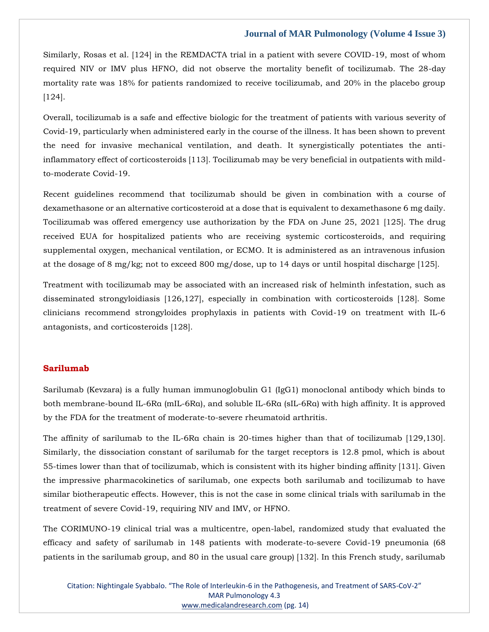Similarly, Rosas et al. [124] in the REMDACTA trial in a patient with severe COVID-19, most of whom required NIV or IMV plus HFNO, did not observe the mortality benefit of tocilizumab. The 28-day mortality rate was 18% for patients randomized to receive tocilizumab, and 20% in the placebo group [124].

Overall, tocilizumab is a safe and effective biologic for the treatment of patients with various severity of Covid-19, particularly when administered early in the course of the illness. It has been shown to prevent the need for invasive mechanical ventilation, and death. It synergistically potentiates the antiinflammatory effect of corticosteroids [113]. Tocilizumab may be very beneficial in outpatients with mildto-moderate Covid-19.

Recent guidelines recommend that tocilizumab should be given in combination with a course of dexamethasone or an alternative corticosteroid at a dose that is equivalent to dexamethasone 6 mg daily. Tocilizumab was offered emergency use authorization by the FDA on June 25, 2021 [125]. The drug received EUA for hospitalized patients who are receiving systemic corticosteroids, and requiring supplemental oxygen, mechanical ventilation, or ECMO. It is administered as an intravenous infusion at the dosage of 8 mg/kg; not to exceed 800 mg/dose, up to 14 days or until hospital discharge [125].

Treatment with tocilizumab may be associated with an increased risk of helminth infestation, such as disseminated strongyloidiasis [126,127], especially in combination with corticosteroids [128]. Some clinicians recommend strongyloides prophylaxis in patients with Covid-19 on treatment with IL-6 antagonists, and corticosteroids [128].

# **Sarilumab**

Sarilumab (Kevzara) is a fully human immunoglobulin G1 (IgG1) monoclonal antibody which binds to both membrane-bound IL-6Rα (mIL-6Rα), and soluble IL-6Rα (sIL-6Rα) with high affinity. It is approved by the FDA for the treatment of moderate-to-severe rheumatoid arthritis.

The affinity of sarilumab to the IL-6Ra chain is 20-times higher than that of tocilizumab [129,130]. Similarly, the dissociation constant of sarilumab for the target receptors is 12.8 pmol, which is about 55-times lower than that of tocilizumab, which is consistent with its higher binding affinity [131]. Given the impressive pharmacokinetics of sarilumab, one expects both sarilumab and tocilizumab to have similar biotherapeutic effects. However, this is not the case in some clinical trials with sarilumab in the treatment of severe Covid-19, requiring NIV and IMV, or HFNO.

The CORIMUNO-19 clinical trial was a multicentre, open-label, randomized study that evaluated the efficacy and safety of sarilumab in 148 patients with moderate-to-severe Covid-19 pneumonia (68 patients in the sarilumab group, and 80 in the usual care group) [132]. In this French study, sarilumab

Citation: Nightingale Syabbalo. "The Role of Interleukin-6 in the Pathogenesis, and Treatment of SARS-CoV-2" MAR Pulmonology 4.3 [www.medicalandresearch.com](http://www.medicalandresearch.com/) (pg. 14)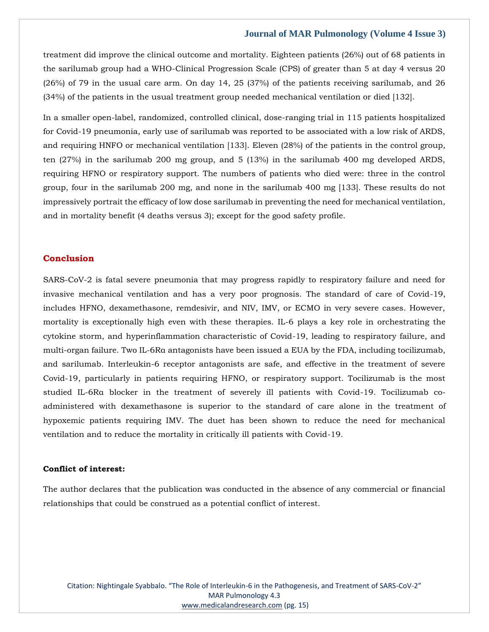treatment did improve the clinical outcome and mortality. Eighteen patients (26%) out of 68 patients in the sarilumab group had a WHO-Clinical Progression Scale (CPS) of greater than 5 at day 4 versus 20 (26%) of 79 in the usual care arm. On day 14, 25 (37%) of the patients receiving sarilumab, and 26 (34%) of the patients in the usual treatment group needed mechanical ventilation or died [132].

In a smaller open-label, randomized, controlled clinical, dose-ranging trial in 115 patients hospitalized for Covid-19 pneumonia, early use of sarilumab was reported to be associated with a low risk of ARDS, and requiring HNFO or mechanical ventilation [133]. Eleven (28%) of the patients in the control group, ten (27%) in the sarilumab 200 mg group, and 5 (13%) in the sarilumab 400 mg developed ARDS, requiring HFNO or respiratory support. The numbers of patients who died were: three in the control group, four in the sarilumab 200 mg, and none in the sarilumab 400 mg [133]. These results do not impressively portrait the efficacy of low dose sarilumab in preventing the need for mechanical ventilation, and in mortality benefit (4 deaths versus 3); except for the good safety profile.

# **Conclusion**

SARS-CoV-2 is fatal severe pneumonia that may progress rapidly to respiratory failure and need for invasive mechanical ventilation and has a very poor prognosis. The standard of care of Covid-19, includes HFNO, dexamethasone, remdesivir, and NIV, IMV, or ECMO in very severe cases. However, mortality is exceptionally high even with these therapies. IL-6 plays a key role in orchestrating the cytokine storm, and hyperinflammation characteristic of Covid-19, leading to respiratory failure, and multi-organ failure. Two IL-6Rα antagonists have been issued a EUA by the FDA, including tocilizumab, and sarilumab. Interleukin-6 receptor antagonists are safe, and effective in the treatment of severe Covid-19, particularly in patients requiring HFNO, or respiratory support. Tocilizumab is the most studied IL-6Rα blocker in the treatment of severely ill patients with Covid-19. Tocilizumab coadministered with dexamethasone is superior to the standard of care alone in the treatment of hypoxemic patients requiring IMV. The duet has been shown to reduce the need for mechanical ventilation and to reduce the mortality in critically ill patients with Covid-19.

#### **Conflict of interest:**

The author declares that the publication was conducted in the absence of any commercial or financial relationships that could be construed as a potential conflict of interest.

Citation: Nightingale Syabbalo. "The Role of Interleukin-6 in the Pathogenesis, and Treatment of SARS-CoV-2" MAR Pulmonology 4.3 [www.medicalandresearch.com](http://www.medicalandresearch.com/) (pg. 15)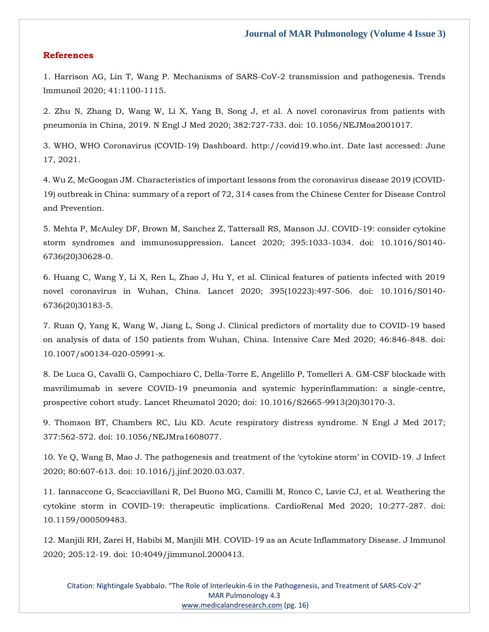### **References**

1. Harrison AG, Lin T, Wang P. Mechanisms of SARS-CoV-2 transmission and pathogenesis. Trends Immunoil 2020; 41:1100-1115.

2. Zhu N, Zhang D, Wang W, Li X, Yang B, Song J, et al. A novel coronavirus from patients with pneumonia in China, 2019. N Engl J Med 2020; 382:727-733. doi: 10.1056/NEJMoa2001017.

3. WHO, WHO Coronavirus (COVID-19) Dashboard. [http://covid19.who.int.](http://covid19.who.int/) Date last accessed: June 17, 2021.

4. Wu Z, McGoogan JM. Characteristics of important lessons from the coronavirus disease 2019 (COVID-19) outbreak in China: summary of a report of 72, 314 cases from the Chinese Center for Disease Control and Prevention.

5. Mehta P, McAuley DF, Brown M, Sanchez Z, Tattersall RS, Manson JJ. COVID-19: consider cytokine storm syndromes and immunosuppression. Lancet 2020; 395:1033-1034. doi: 10.1016/S0140- 6736(20)30628-0.

6. Huang C, Wang Y, Li X, Ren L, Zhao J, Hu Y, et al. Clinical features of patients infected with 2019 novel coronavirus in Wuhan, China. Lancet 2020; 395(10223):497-506. doi: 10.1016/S0140- 6736(20)30183-5.

7. Ruan Q, Yang K, Wang W, Jiang L, Song J. Clinical predictors of mortality due to COVID-19 based on analysis of data of 150 patients from Wuhan, China. Intensive Care Med 2020; 46:846-848. doi: 10.1007/s00134-020-05991-x.

8. De Luca G, Cavalli G, Campochiaro C, Della-Torre E, Angelillo P, Tomelleri A. GM-CSF blockade with mavrilimumab in severe COVID-19 pneumonia and systemic hyperinflammation: a single-centre, prospective cohort study. Lancet Rheumatol 2020; doi: 10.1016/S2665-9913(20)30170-3.

9. Thomson BT, Chambers RC, Liu KD. Acute respiratory distress syndrome. N Engl J Med 2017; 377:562-572. doi: 10.1056/NEJMra1608077.

10. Ye Q, Wang B, Mao J. The pathogenesis and treatment of the 'cytokine storm' in COVID-19. J Infect 2020; 80:607-613. doi: 10.1016/j.jinf.2020.03.037.

11. Iannaccone G, Scacciavillani R, Del Buono MG, Camilli M, Ronco C, Lavie CJ, et al. Weathering the cytokine storm in COVID-19: therapeutic implications. CardioRenal Med 2020; 10:277-287. doi: 10.1159/000509483.

12. Manjili RH, Zarei H, Habibi M, Manjili MH. COVID-19 as an Acute Inflammatory Disease. J Immunol 2020; 205:12-19. doi: 10:4049/jimmunol.2000413.

Citation: Nightingale Syabbalo. "The Role of Interleukin-6 in the Pathogenesis, and Treatment of SARS-CoV-2" MAR Pulmonology 4.3 [www.medicalandresearch.com](http://www.medicalandresearch.com/) (pg. 16)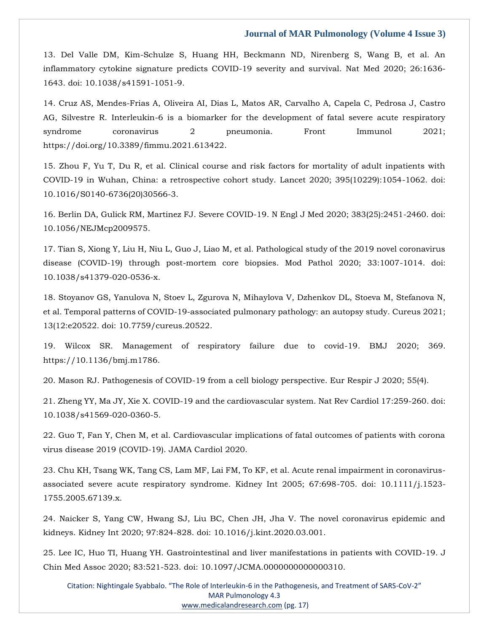13. Del Valle DM, Kim-Schulze S, Huang HH, Beckmann ND, Nirenberg S, Wang B, et al. An inflammatory cytokine signature predicts COVID-19 severity and survival. Nat Med 2020; 26:1636- 1643. doi: 10.1038/s41591-1051-9.

14. Cruz AS, Mendes-Frias A, Oliveira AI, Dias L, Matos AR, Carvalho A, Capela C, Pedrosa J, Castro AG, Silvestre R. Interleukin-6 is a biomarker for the development of fatal severe acute respiratory syndrome coronavirus 2 pneumonia. Front Immunol 2021; [https://doi.org/10.3389/fimmu.2021.613422.](https://doi.org/10.3389/fimmu.2021.613422)

15. Zhou F, Yu T, Du R, et al. Clinical course and risk factors for mortality of adult inpatients with COVID-19 in Wuhan, China: a retrospective cohort study. Lancet 2020; 395(10229):1054-1062. doi: 10.1016/S0140-6736(20)30566-3.

16. Berlin DA, Gulick RM, Martinez FJ. Severe COVID-19. N Engl J Med 2020; 383(25):2451-2460. doi: 10.1056/NEJMcp2009575.

17. Tian S, Xiong Y, Liu H, Niu L, Guo J, Liao M, et al. Pathological study of the 2019 novel coronavirus disease (COVID-19) through post-mortem core biopsies. Mod Pathol 2020; 33:1007-1014. doi: 10.1038/s41379-020-0536-x.

18. Stoyanov GS, Yanulova N, Stoev L, Zgurova N, Mihaylova V, Dzhenkov DL, Stoeva M, Stefanova N, et al. Temporal patterns of COVID-19-associated pulmonary pathology: an autopsy study. Cureus 2021; 13(12:e20522. doi: 10.7759/cureus.20522.

19. Wilcox SR. Management of respiratory failure due to covid-19. BMJ 2020; 369. [https://10.1136/bmj.m1786.](https://10.0.4.112/bmj.m1786)

20. Mason RJ. Pathogenesis of COVID-19 from a cell biology perspective. Eur Respir J 2020; 55(4).

21. Zheng YY, Ma JY, Xie X. COVID-19 and the cardiovascular system. Nat Rev Cardiol 17:259-260. doi: 10.1038/s41569-020-0360-5.

22. Guo T, Fan Y, Chen M, et al. Cardiovascular implications of fatal outcomes of patients with corona virus disease 2019 (COVID-19). JAMA Cardiol 2020.

23. Chu KH, Tsang WK, Tang CS, Lam MF, Lai FM, To KF, et al. Acute renal impairment in coronavirusassociated severe acute respiratory syndrome. Kidney Int 2005; 67:698-705. doi: 10.1111/j.1523- 1755.2005.67139.x.

24. Naicker S, Yang CW, Hwang SJ, Liu BC, Chen JH, Jha V. The novel coronavirus epidemic and kidneys. Kidney Int 2020; 97:824-828. doi: 10.1016/j.kint.2020.03.001.

25. Lee IC, Huo TI, Huang YH. Gastrointestinal and liver manifestations in patients with COVID-19. J Chin Med Assoc 2020; 83:521-523. doi: 10.1097/JCMA.0000000000000310.

Citation: Nightingale Syabbalo. "The Role of Interleukin-6 in the Pathogenesis, and Treatment of SARS-CoV-2" MAR Pulmonology 4.3 [www.medicalandresearch.com](http://www.medicalandresearch.com/) (pg. 17)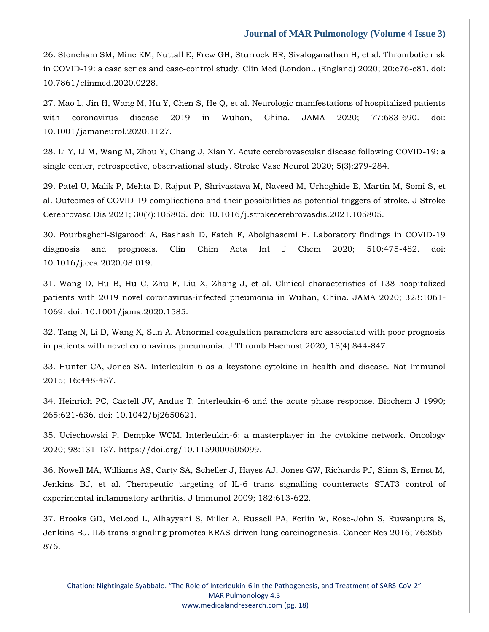26. Stoneham SM, Mine KM, Nuttall E, Frew GH, Sturrock BR, Sivaloganathan H, et al. Thrombotic risk in COVID-19: a case series and case-control study. Clin Med (London., (England) 2020; 20:e76-e81. doi: 10.7861/clinmed.2020.0228.

27. Mao L, Jin H, Wang M, Hu Y, Chen S, He Q, et al. Neurologic manifestations of hospitalized patients with coronavirus disease 2019 in Wuhan, China. JAMA 2020; 77:683-690. doi: 10.1001/jamaneurol.2020.1127.

28. Li Y, Li M, Wang M, Zhou Y, Chang J, Xian Y. Acute cerebrovascular disease following COVID-19: a single center, retrospective, observational study. Stroke Vasc Neurol 2020; 5(3):279-284.

29. Patel U, Malik P, Mehta D, Rajput P, Shrivastava M, Naveed M, Urhoghide E, Martin M, Somi S, et al. Outcomes of COVID-19 complications and their possibilities as potential triggers of stroke. J Stroke Cerebrovasc Dis 2021; 30(7):105805. doi: 10.1016/j.strokecerebrovasdis.2021.105805.

30. Pourbagheri-Sigaroodi A, Bashash D, Fateh F, Abolghasemi H. Laboratory findings in COVID-19 diagnosis and prognosis. Clin Chim Acta Int J Chem 2020; 510:475-482. doi: 10.1016/j.cca.2020.08.019.

31. Wang D, Hu B, Hu C, Zhu F, Liu X, Zhang J, et al. Clinical characteristics of 138 hospitalized patients with 2019 novel coronavirus-infected pneumonia in Wuhan, China. JAMA 2020; 323:1061- 1069. doi: 10.1001/jama.2020.1585.

32. Tang N, Li D, Wang X, Sun A. Abnormal coagulation parameters are associated with poor prognosis in patients with novel coronavirus pneumonia. J Thromb Haemost 2020; 18(4):844-847.

33. Hunter CA, Jones SA. Interleukin-6 as a keystone cytokine in health and disease. Nat Immunol 2015; 16:448-457.

34. Heinrich PC, Castell JV, Andus T. Interleukin-6 and the acute phase response. Biochem J 1990; 265:621-636. doi: 10.1042/bj2650621.

35. Uciechowski P, Dempke WCM. Interleukin-6: a masterplayer in the cytokine network. Oncology 2020; 98:131-137. [https://doi.org/10.1159000505099.](https://doi.org/10.1159000505099)

36. Nowell MA, Williams AS, Carty SA, Scheller J, Hayes AJ, Jones GW, Richards PJ, Slinn S, Ernst M, Jenkins BJ, et al. Therapeutic targeting of IL-6 trans signalling counteracts STAT3 control of experimental inflammatory arthritis. J Immunol 2009; 182:613-622.

37. Brooks GD, McLeod L, Alhayyani S, Miller A, Russell PA, Ferlin W, Rose-John S, Ruwanpura S, Jenkins BJ. IL6 trans-signaling promotes KRAS-driven lung carcinogenesis. Cancer Res 2016; 76:866- 876.

Citation: Nightingale Syabbalo. "The Role of Interleukin-6 in the Pathogenesis, and Treatment of SARS-CoV-2" MAR Pulmonology 4.3 [www.medicalandresearch.com](http://www.medicalandresearch.com/) (pg. 18)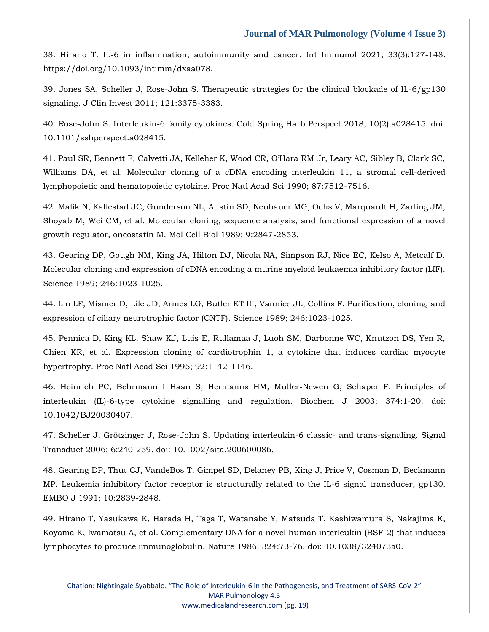38. Hirano T. IL-6 in inflammation, autoimmunity and cancer. Int Immunol 2021; 33(3):127-148. https://doi.org/10.1093/intimm/dxaa078.

39. Jones SA, Scheller J, Rose-John S. Therapeutic strategies for the clinical blockade of IL-6/gp130 signaling. J Clin Invest 2011; 121:3375-3383.

40. Rose-John S. Interleukin-6 family cytokines. Cold Spring Harb Perspect 2018; 10(2):a028415. doi: 10.1101/sshperspect.a028415.

41. Paul SR, Bennett F, Calvetti JA, Kelleher K, Wood CR, O'Hara RM Jr, Leary AC, Sibley B, Clark SC, Williams DA, et al. Molecular cloning of a cDNA encoding interleukin 11, a stromal cell-derived lymphopoietic and hematopoietic cytokine. Proc Natl Acad Sci 1990; 87:7512-7516.

42. Malik N, Kallestad JC, Gunderson NL, Austin SD, Neubauer MG, Ochs V, Marquardt H, Zarling JM, Shoyab M, Wei CM, et al. Molecular cloning, sequence analysis, and functional expression of a novel growth regulator, oncostatin M. Mol Cell Biol 1989; 9:2847-2853.

43. Gearing DP, Gough NM, King JA, Hilton DJ, Nicola NA, Simpson RJ, Nice EC, Kelso A, Metcalf D. Molecular cloning and expression of cDNA encoding a murine myeloid leukaemia inhibitory factor (LIF). Science 1989; 246:1023-1025.

44. Lin LF, Mismer D, Lile JD, Armes LG, Butler ET III, Vannice JL, Collins F. Purification, cloning, and expression of ciliary neurotrophic factor (CNTF). Science 1989; 246:1023-1025.

45. Pennica D, King KL, Shaw KJ, Luis E, Rullamaa J, Luoh SM, Darbonne WC, Knutzon DS, Yen R, Chien KR, et al. Expression cloning of cardiotrophin 1, a cytokine that induces cardiac myocyte hypertrophy. Proc Natl Acad Sci 1995; 92:1142-1146.

46. Heinrich PC, Behrmann I Haan S, Hermanns HM, Muller-Newen G, Schaper F. Principles of interleukin (IL)-6-type cytokine signalling and regulation. Biochem J 2003; 374:1-20. doi: 10.1042/BJ20030407.

47. Scheller J, Grötzinger J, Rose-John S. Updating interleukin-6 classic- and trans-signaling. Signal Transduct 2006; 6:240-259. doi: 10.1002/sita.200600086.

48. Gearing DP, Thut CJ, VandeBos T, Gimpel SD, Delaney PB, King J, Price V, Cosman D, Beckmann MP. Leukemia inhibitory factor receptor is structurally related to the IL-6 signal transducer, gp130. EMBO J 1991; 10:2839-2848.

49. Hirano T, Yasukawa K, Harada H, Taga T, Watanabe Y, Matsuda T, Kashiwamura S, Nakajima K, Koyama K, Iwamatsu A, et al. Complementary DNA for a novel human interleukin (BSF-2) that induces lymphocytes to produce immunoglobulin. Nature 1986; 324:73-76. doi: 10.1038/324073a0.

Citation: Nightingale Syabbalo. "The Role of Interleukin-6 in the Pathogenesis, and Treatment of SARS-CoV-2" MAR Pulmonology 4.3 [www.medicalandresearch.com](http://www.medicalandresearch.com/) (pg. 19)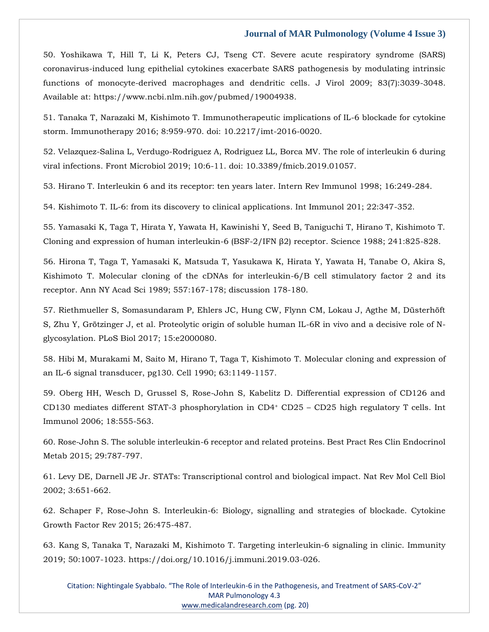50. Yoshikawa T, Hill T, Li K, Peters CJ, Tseng CT. Severe acute respiratory syndrome (SARS) coronavirus-induced lung epithelial cytokines exacerbate SARS pathogenesis by modulating intrinsic functions of monocyte-derived macrophages and dendritic cells. J Virol 2009; 83(7):3039-3048. Available at: [https://www.ncbi.nlm.nih.gov/pubmed/19004938.](https://www.ncbi.nlm.nih.gov/pubmed/19004938)

51. Tanaka T, Narazaki M, Kishimoto T. Immunotherapeutic implications of IL-6 blockade for cytokine storm. Immunotherapy 2016; 8:959-970. doi: 10.2217/imt-2016-0020.

52. Velazquez-Salina L, Verdugo-Rodriguez A, Rodriguez LL, Borca MV. The role of interleukin 6 during viral infections. Front Microbiol 2019; 10:6-11. doi: 10.3389/fmicb.2019.01057.

53. Hirano T. Interleukin 6 and its receptor: ten years later. Intern Rev Immunol 1998; 16:249-284.

54. Kishimoto T. IL-6: from its discovery to clinical applications. Int Immunol 201; 22:347-352.

55. Yamasaki K, Taga T, Hirata Y, Yawata H, Kawinishi Y, Seed B, Taniguchi T, Hirano T, Kishimoto T. Cloning and expression of human interleukin-6 (BSF-2/IFN β2) receptor. Science 1988; 241:825-828.

56. Hirona T, Taga T, Yamasaki K, Matsuda T, Yasukawa K, Hirata Y, Yawata H, Tanabe O, Akira S, Kishimoto T. Molecular cloning of the cDNAs for interleukin-6/B cell stimulatory factor 2 and its receptor. Ann NY Acad Sci 1989; 557:167-178; discussion 178-180.

57. Riethmueller S, Somasundaram P, Ehlers JC, Hung CW, Flynn CM, Lokau J, Agthe M, Düsterhöft S, Zhu Y, Grötzinger J, et al. Proteolytic origin of soluble human IL-6R in vivo and a decisive role of Nglycosylation. PLoS Biol 2017; 15:e2000080.

58. Hibi M, Murakami M, Saito M, Hirano T, Taga T, Kishimoto T. Molecular cloning and expression of an IL-6 signal transducer, pg130. Cell 1990; 63:1149-1157.

59. Oberg HH, Wesch D, Grussel S, Rose-John S, Kabelitz D. Differential expression of CD126 and CD130 mediates different STAT-3 phosphorylation in CD4<sup>+</sup> CD25 – CD25 high regulatory T cells. Int Immunol 2006; 18:555-563.

60. Rose-John S. The soluble interleukin-6 receptor and related proteins. Best Pract Res Clin Endocrinol Metab 2015; 29:787-797.

61. Levy DE, Darnell JE Jr. STATs: Transcriptional control and biological impact. Nat Rev Mol Cell Biol 2002; 3:651-662.

62. Schaper F, Rose-John S. Interleukin-6: Biology, signalling and strategies of blockade. Cytokine Growth Factor Rev 2015; 26:475-487.

63. Kang S, Tanaka T, Narazaki M, Kishimoto T. Targeting interleukin-6 signaling in clinic. Immunity 2019; 50:1007-1023. [https://doi.org/10.1016/j.immuni.2019.03-026.](https://doi.org/10.1016/j.immuni.2019.03-026)

Citation: Nightingale Syabbalo. "The Role of Interleukin-6 in the Pathogenesis, and Treatment of SARS-CoV-2" MAR Pulmonology 4.3 [www.medicalandresearch.com](http://www.medicalandresearch.com/) (pg. 20)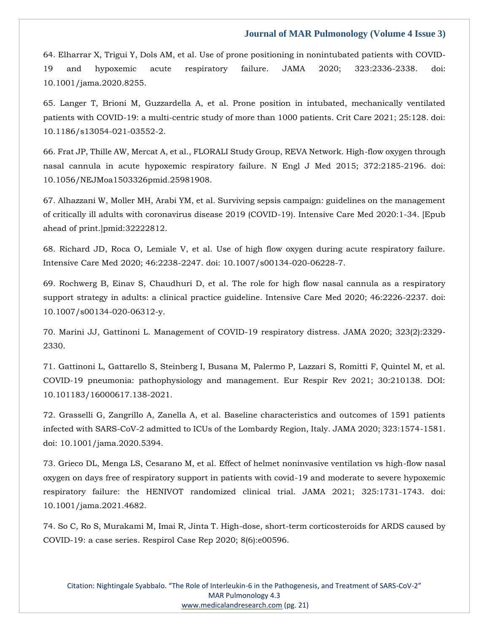64. Elharrar X, Trigui Y, Dols AM, et al. Use of prone positioning in nonintubated patients with COVID-19 and hypoxemic acute respiratory failure. JAMA 2020; 323:2336-2338. doi: 10.1001/jama.2020.8255.

65. Langer T, Brioni M, Guzzardella A, et al. Prone position in intubated, mechanically ventilated patients with COVID-19: a multi-centric study of more than 1000 patients. Crit Care 2021; 25:128. doi: 10.1186/s13054-021-03552-2.

66. Frat JP, Thille AW, Mercat A, et al., FLORALI Study Group, REVA Network. High-flow oxygen through nasal cannula in acute hypoxemic respiratory failure. N Engl J Med 2015; 372:2185-2196. doi: 10.1056/NEJMoa1503326pmid.25981908.

67. Alhazzani W, Moller MH, Arabi YM, et al. Surviving sepsis campaign: guidelines on the management of critically ill adults with coronavirus disease 2019 (COVID-19). Intensive Care Med 2020:1-34. [Epub ahead of print.]pmid:32222812.

68. Richard JD, Roca O, Lemiale V, et al. Use of high flow oxygen during acute respiratory failure. Intensive Care Med 2020; 46:2238-2247. doi: 10.1007/s00134-020-06228-7.

69. Rochwerg B, Einav S, Chaudhuri D, et al. The role for high flow nasal cannula as a respiratory support strategy in adults: a clinical practice guideline. Intensive Care Med 2020; 46:2226-2237. doi: 10.1007/s00134-020-06312-y.

70. Marini JJ, Gattinoni L. Management of COVID-19 respiratory distress. JAMA 2020; 323(2):2329- 2330.

71. Gattinoni L, Gattarello S, Steinberg I, Busana M, Palermo P, Lazzari S, Romitti F, Quintel M, et al. COVID-19 pneumonia: pathophysiology and management. Eur Respir Rev 2021; 30:210138. DOI: 10.101183/16000617.138-2021.

72. Grasselli G, Zangrillo A, Zanella A, et al. Baseline characteristics and outcomes of 1591 patients infected with SARS-CoV-2 admitted to ICUs of the Lombardy Region, Italy. JAMA 2020; 323:1574-1581. doi: 10.1001/jama.2020.5394.

73. Grieco DL, Menga LS, Cesarano M, et al. Effect of helmet noninvasive ventilation vs high-flow nasal oxygen on days free of respiratory support in patients with covid-19 and moderate to severe hypoxemic respiratory failure: the HENIVOT randomized clinical trial. JAMA 2021; 325:1731-1743. doi: 10.1001/jama.2021.4682.

74. So C, Ro S, Murakami M, Imai R, Jinta T. High-dose, short-term corticosteroids for ARDS caused by COVID-19: a case series. Respirol Case Rep 2020; 8(6):e00596.

Citation: Nightingale Syabbalo. "The Role of Interleukin-6 in the Pathogenesis, and Treatment of SARS-CoV-2" MAR Pulmonology 4.3 [www.medicalandresearch.com](http://www.medicalandresearch.com/) (pg. 21)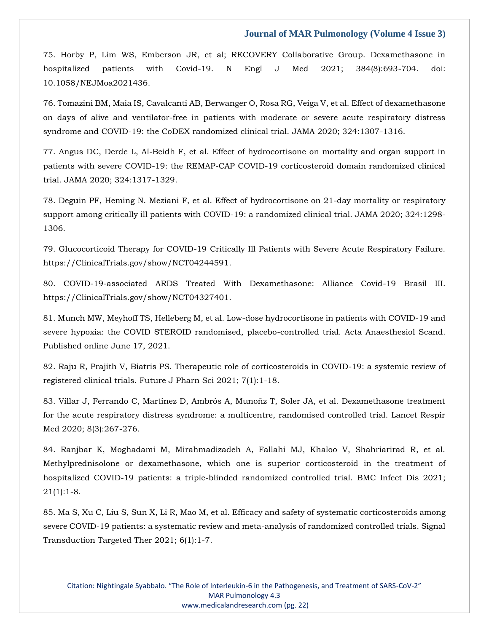75. Horby P, Lim WS, Emberson JR, et al; RECOVERY Collaborative Group. Dexamethasone in hospitalized patients with Covid-19. N Engl J Med 2021; 384(8):693-704. doi: 10.1058/NEJMoa2021436.

76. Tomazini BM, Maia IS, Cavalcanti AB, Berwanger O, Rosa RG, Veiga V, et al. Effect of dexamethasone on days of alive and ventilator-free in patients with moderate or severe acute respiratory distress syndrome and COVID-19: the CoDEX randomized clinical trial. JAMA 2020; 324:1307-1316.

77. Angus DC, Derde L, Al-Beidh F, et al. Effect of hydrocortisone on mortality and organ support in patients with severe COVID-19: the REMAP-CAP COVID-19 corticosteroid domain randomized clinical trial. JAMA 2020; 324:1317-1329.

78. Deguin PF, Heming N. Meziani F, et al. Effect of hydrocortisone on 21-day mortality or respiratory support among critically ill patients with COVID-19: a randomized clinical trial. JAMA 2020; 324:1298- 1306.

79. Glucocorticoid Therapy for COVID-19 Critically Ill Patients with Severe Acute Respiratory Failure. [https://ClinicalTrials.gov/show/NCT04244591.](https://clinicaltrials.gov/show/NCT04244591)

80. COVID-19-associated ARDS Treated With Dexamethasone: Alliance Covid-19 Brasil III. [https://ClinicalTrials.gov/show/NCT04327401.](https://clinicaltrials.gov/show/NCT04327401)

81. Munch MW, Meyhoff TS, Helleberg M, et al. Low-dose hydrocortisone in patients with COVID-19 and severe hypoxia: the COVID STEROID randomised, placebo-controlled trial. Acta Anaesthesiol Scand. Published online June 17, 2021.

82. Raju R, Prajith V, Biatris PS. Therapeutic role of corticosteroids in COVID-19: a systemic review of registered clinical trials. Future J Pharn Sci 2021; 7(1):1-18.

83. Villar J, Ferrando C, Martínez D, Ambrós A, Munoñz T, Soler JA, et al. Dexamethasone treatment for the acute respiratory distress syndrome: a multicentre, randomised controlled trial. Lancet Respir Med 2020; 8(3):267-276.

84. Ranjbar K, Moghadami M, Mirahmadizadeh A, Fallahi MJ, Khaloo V, Shahriarirad R, et al. Methylprednisolone or dexamethasone, which one is superior corticosteroid in the treatment of hospitalized COVID-19 patients: a triple-blinded randomized controlled trial. BMC Infect Dis 2021; 21(1):1-8.

85. Ma S, Xu C, Liu S, Sun X, Li R, Mao M, et al. Efficacy and safety of systematic corticosteroids among severe COVID-19 patients: a systematic review and meta-analysis of randomized controlled trials. Signal Transduction Targeted Ther 2021; 6(1):1-7.

Citation: Nightingale Syabbalo. "The Role of Interleukin-6 in the Pathogenesis, and Treatment of SARS-CoV-2" MAR Pulmonology 4.3 [www.medicalandresearch.com](http://www.medicalandresearch.com/) (pg. 22)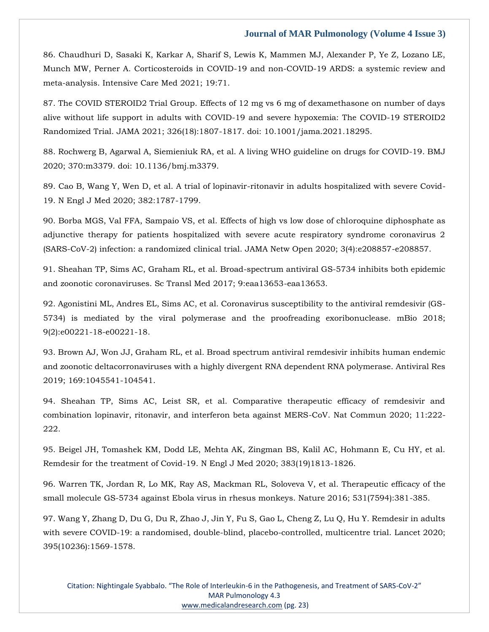86. Chaudhuri D, Sasaki K, Karkar A, Sharif S, Lewis K, Mammen MJ, Alexander P, Ye Z, Lozano LE, Munch MW, Perner A. Corticosteroids in COVID-19 and non-COVID-19 ARDS: a systemic review and meta-analysis. Intensive Care Med 2021; 19:71.

87. The COVID STEROID2 Trial Group. Effects of 12 mg vs 6 mg of dexamethasone on number of days alive without life support in adults with COVID-19 and severe hypoxemia: The COVID-19 STEROID2 Randomized Trial. JAMA 2021; 326(18):1807-1817. doi: 10.1001/jama.2021.18295.

88. Rochwerg B, Agarwal A, Siemieniuk RA, et al. A living WHO guideline on drugs for COVID-19. BMJ 2020; 370:m3379. doi: 10.1136/bmj.m3379.

89. Cao B, Wang Y, Wen D, et al. A trial of lopinavir-ritonavir in adults hospitalized with severe Covid-19. N Engl J Med 2020; 382:1787-1799.

90. Borba MGS, Val FFA, Sampaio VS, et al. Effects of high vs low dose of chloroquine diphosphate as adjunctive therapy for patients hospitalized with severe acute respiratory syndrome coronavirus 2 (SARS-CoV-2) infection: a randomized clinical trial. JAMA Netw Open 2020; 3(4):e208857-e208857.

91. Sheahan TP, Sims AC, Graham RL, et al. Broad-spectrum antiviral GS-5734 inhibits both epidemic and zoonotic coronaviruses. Sc Transl Med 2017; 9:eaa13653-eaa13653.

92. Agonistini ML, Andres EL, Sims AC, et al. Coronavirus susceptibility to the antiviral remdesivir (GS-5734) is mediated by the viral polymerase and the proofreading exoribonuclease. mBio 2018; 9(2):e00221-18-e00221-18.

93. Brown AJ, Won JJ, Graham RL, et al. Broad spectrum antiviral remdesivir inhibits human endemic and zoonotic deltacorronaviruses with a highly divergent RNA dependent RNA polymerase. Antiviral Res 2019; 169:1045541-104541.

94. Sheahan TP, Sims AC, Leist SR, et al. Comparative therapeutic efficacy of remdesivir and combination lopinavir, ritonavir, and interferon beta against MERS-CoV. Nat Commun 2020; 11:222- 222.

95. Beigel JH, Tomashek KM, Dodd LE, Mehta AK, Zingman BS, Kalil AC, Hohmann E, Cu HY, et al. Remdesir for the treatment of Covid-19. N Engl J Med 2020; 383(19)1813-1826.

96. Warren TK, Jordan R, Lo MK, Ray AS, Mackman RL, Soloveva V, et al. Therapeutic efficacy of the small molecule GS-5734 against Ebola virus in rhesus monkeys. Nature 2016; 531(7594):381-385.

97. Wang Y, Zhang D, Du G, Du R, Zhao J, Jin Y, Fu S, Gao L, Cheng Z, Lu Q, Hu Y. Remdesir in adults with severe COVID-19: a randomised, double-blind, placebo-controlled, multicentre trial. Lancet 2020; 395(10236):1569-1578.

Citation: Nightingale Syabbalo. "The Role of Interleukin-6 in the Pathogenesis, and Treatment of SARS-CoV-2" MAR Pulmonology 4.3 [www.medicalandresearch.com](http://www.medicalandresearch.com/) (pg. 23)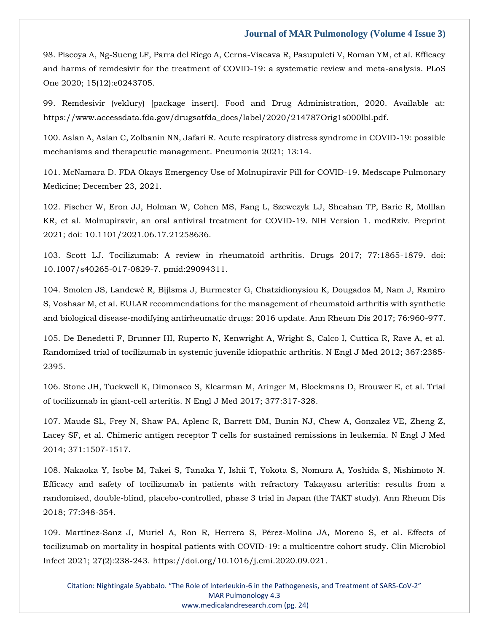98. Piscoya A, Ng-Sueng LF, Parra del Riego A, Cerna-Viacava R, Pasupuleti V, Roman YM, et al. Efficacy and harms of remdesivir for the treatment of COVID-19: a systematic review and meta-analysis. PLoS One 2020; 15(12):e0243705.

99. Remdesivir (veklury) [package insert]. Food and Drug Administration, 2020. Available at: [https://www.accessdata.fda.gov/drugsatfda\\_docs/label/2020/214787Orig1s000lbl.pdf.](https://www.accessdata.fda.gov/drugsatfda_docs/label/2020/214787Orig1s000lbl.pdf)

100. Aslan A, Aslan C, Zolbanin NN, Jafari R. Acute respiratory distress syndrome in COVID-19: possible mechanisms and therapeutic management. Pneumonia 2021; 13:14.

101. McNamara D. FDA Okays Emergency Use of Molnupiravir Pill for COVID-19. Medscape Pulmonary Medicine; December 23, 2021.

102. Fischer W, Eron JJ, Holman W, Cohen MS, Fang L, Szewczyk LJ, Sheahan TP, Baric R, Molllan KR, et al. Molnupiravir, an oral antiviral treatment for COVID-19. NIH Version 1. medRxiv. Preprint 2021; doi: 10.1101/2021.06.17.21258636.

103. Scott LJ. Tocilizumab: A review in rheumatoid arthritis. Drugs 2017; 77:1865-1879. doi: 10.1007/s40265-017-0829-7. pmid:29094311.

104. Smolen JS, Landewé R, Bijlsma J, Burmester G, Chatzidionysiou K, Dougados M, Nam J, Ramiro S, Voshaar M, et al. EULAR recommendations for the management of rheumatoid arthritis with synthetic and biological disease-modifying antirheumatic drugs: 2016 update. Ann Rheum Dis 2017; 76:960-977.

105. De Benedetti F, Brunner HI, Ruperto N, Kenwright A, Wright S, Calco I, Cuttica R, Rave A, et al. Randomized trial of tocilizumab in systemic juvenile idiopathic arthritis. N Engl J Med 2012; 367:2385- 2395.

106. Stone JH, Tuckwell K, Dimonaco S, Klearman M, Aringer M, Blockmans D, Brouwer E, et al. Trial of tocilizumab in giant-cell arteritis. N Engl J Med 2017; 377:317-328.

107. Maude SL, Frey N, Shaw PA, Aplenc R, Barrett DM, Bunin NJ, Chew A, Gonzalez VE, Zheng Z, Lacey SF, et al. Chimeric antigen receptor T cells for sustained remissions in leukemia. N Engl J Med 2014; 371:1507-1517.

108. Nakaoka Y, Isobe M, Takei S, Tanaka Y, Ishii T, Yokota S, Nomura A, Yoshida S, Nishimoto N. Efficacy and safety of tocilizumab in patients with refractory Takayasu arteritis: results from a randomised, double-blind, placebo-controlled, phase 3 trial in Japan (the TAKT study). Ann Rheum Dis 2018; 77:348-354.

109. Martínez-Sanz J, Muriel A, Ron R, Herrera S, Pérez-Molina JA, Moreno S, et al. Effects of tocilizumab on mortality in hospital patients with COVID-19: a multicentre cohort study. Clin Microbiol Infect 2021; 27(2):238-243. [https://doi.org/10.1016/j.cmi.2020.09.021.](https://doi.org/10.1016/j.cmi.2020.09.021)

Citation: Nightingale Syabbalo. "The Role of Interleukin-6 in the Pathogenesis, and Treatment of SARS-CoV-2" MAR Pulmonology 4.3 [www.medicalandresearch.com](http://www.medicalandresearch.com/) (pg. 24)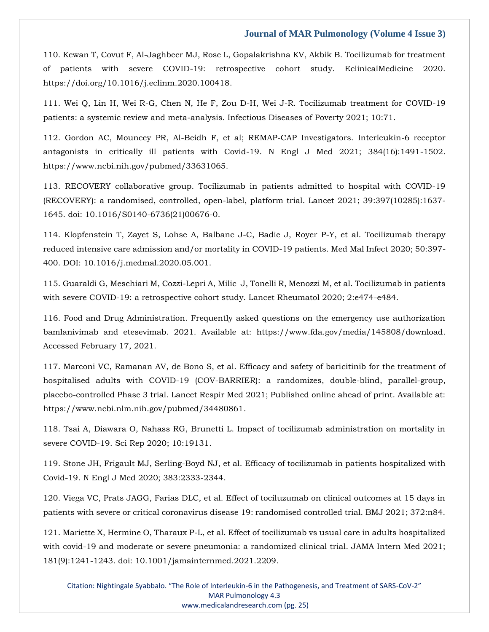110. Kewan T, Covut F, Al-Jaghbeer MJ, Rose L, Gopalakrishna KV, Akbik B. Tocilizumab for treatment of patients with severe COVID-19: retrospective cohort study. EclinicalMedicine 2020. [https://doi.org/10.1016/j.eclinm.2020.100418.](https://doi.org/10.1016/j.eclinm.2020.100418)

111. Wei Q, Lin H, Wei R-G, Chen N, He F, Zou D-H, Wei J-R. Tocilizumab treatment for COVID-19 patients: a systemic review and meta-analysis. Infectious Diseases of Poverty 2021; 10:71.

112. Gordon AC, Mouncey PR, Al-Beidh F, et al; REMAP-CAP Investigators. Interleukin-6 receptor antagonists in critically ill patients with Covid-19. N Engl J Med 2021; 384(16):1491-1502. https://www.ncbi.nih.gov/pubmed/33631065.

113. RECOVERY collaborative group. Tocilizumab in patients admitted to hospital with COVID-19 (RECOVERY): a randomised, controlled, open-label, platform trial. Lancet 2021; 39:397(10285):1637- 1645. doi: 10.1016/S0140-6736(21)00676-0.

114. Klopfenstein T, Zayet S, Lohse A, Balbanc J-C, Badie J, Royer P-Y, et al. Tocilizumab therapy reduced intensive care admission and/or mortality in COVID-19 patients. Med Mal Infect 2020; 50:397- 400. DOI: 10.1016/j.medmal.2020.05.001.

115. Guaraldi G, Meschiari M, Cozzi-Lepri A, Milic J, Tonelli R, Menozzi M, et al. Tocilizumab in patients with severe COVID-19: a retrospective cohort study. Lancet Rheumatol 2020; 2:e474-e484.

116. Food and Drug Administration. Frequently asked questions on the emergency use authorization bamlanivimab and etesevimab. 2021. Available at: [https://www.fda.gov/media/145808/download.](https://www.fda.gov/media/145808/download) Accessed February 17, 2021.

117. Marconi VC, Ramanan AV, de Bono S, et al. Efficacy and safety of baricitinib for the treatment of hospitalised adults with COVID-19 (COV-BARRIER): a randomizes, double-blind, parallel-group, placebo-controlled Phase 3 trial. Lancet Respir Med 2021; Published online ahead of print. Available at: [https://www.ncbi.nlm.nih.gov/pubmed/34480861.](https://www.ncbi.nlm.nih.gov/pubmed/34480861)

118. Tsai A, Diawara O, Nahass RG, Brunetti L. Impact of tocilizumab administration on mortality in severe COVID-19. Sci Rep 2020; 10:19131.

119. Stone JH, Frigault MJ, Serling-Boyd NJ, et al. Efficacy of tocilizumab in patients hospitalized with Covid-19. N Engl J Med 2020; 383:2333-2344.

120. Viega VC, Prats JAGG, Farias DLC, et al. Effect of tociluzumab on clinical outcomes at 15 days in patients with severe or critical coronavirus disease 19: randomised controlled trial. BMJ 2021; 372:n84.

121. Mariette X, Hermine O, Tharaux P-L, et al. Effect of tocilizumab vs usual care in adults hospitalized with covid-19 and moderate or severe pneumonia: a randomized clinical trial. JAMA Intern Med 2021; 181(9):1241-1243. doi: 10.1001/jamainternmed.2021.2209.

Citation: Nightingale Syabbalo. "The Role of Interleukin-6 in the Pathogenesis, and Treatment of SARS-CoV-2" MAR Pulmonology 4.3 [www.medicalandresearch.com](http://www.medicalandresearch.com/) (pg. 25)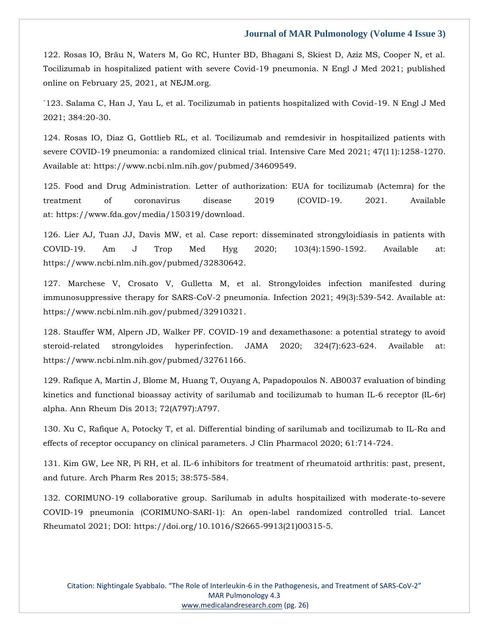122. Rosas IO, Bräu N, Waters M, Go RC, Hunter BD, Bhagani S, Skiest D, Aziz MS, Cooper N, et al. Tocilizumab in hospitalized patient with severe Covid-19 pneumonia. N Engl J Med 2021; published online on February 25, 2021, at NEJM.org.

`123. Salama C, Han J, Yau L, et al. Tocilizumab in patients hospitalized with Covid-19. N Engl J Med 2021; 384:20-30.

124. Rosas IO, Diaz G, Gottlieb RL, et al. Tocilizumab and remdesivir in hospitailized patients with severe COVID-19 pneumonia: a randomized clinical trial. Intensive Care Med 2021; 47(11):1258-1270. Available at: [https://www.ncbi.nlm.nih.gov/pubmed/34609549.](https://www.ncbi.nlm.nih.gov/pubmed/34609549)

125. Food and Drug Administration. Letter of authorization: EUA for tocilizumab (Actemra) for the treatment of coronavirus disease 2019 (COVID-19. 2021. Available at: [https://www.fda.gov/media/150319/download.](https://www.fda.gov/media/150319/download)

126. Lier AJ, Tuan JJ, Davis MW, et al. Case report: disseminated strongyloidiasis in patients with COVID-19. Am J Trop Med Hyg 2020; 103(4):1590-1592. Available at: [https://www.ncbi.nlm.nih.gov/pubmed/32830642.](https://www.ncbi.nlm.nih.gov/pubmed/32830642)

127. Marchese V, Crosato V, Gulletta M, et al. Strongyloides infection manifested during immunosuppressive therapy for SARS-CoV-2 pneumonia. Infection 2021; 49(3):539-542. Available at: [https://www.ncbi.nlm.nih.gov/pubmed/32910321.](https://www.ncbi.nlm.nih.gov/pubmed/32910321)

128. Stauffer WM, Alpern JD, Walker PF. COVID-19 and dexamethasone: a potential strategy to avoid steroid-related strongyloides hyperinfection. JAMA 2020; 324(7):623-624. Available at: [https://www.ncbi.nlm.nih.gov/pubmed/32761166.](https://www.ncbi.nlm.nih.gov/pubmed/32761166)

129. Rafique A, Martin J, Blome M, Huang T, Ouyang A, Papadopoulos N. AB0037 evaluation of binding kinetics and functional bioassay activity of sarilumab and tocilizumab to human IL-6 receptor (IL-6r) alpha. Ann Rheum Dis 2013; 72(A797):A797.

130. Xu C, Rafique A, Potocky T, et al. Differential binding of sarilumab and tocilizumab to IL-Rα and effects of receptor occupancy on clinical parameters. J Clin Pharmacol 2020; 61:714-724.

131. Kim GW, Lee NR, Pi RH, et al. IL-6 inhibitors for treatment of rheumatoid arthritis: past, present, and future. Arch Pharm Res 2015; 38:575-584.

132. CORIMUNO-19 collaborative group. Sarilumab in adults hospitailized with moderate-to-severe COVID-19 pneumonia (CORIMUNO-SARI-1): An open-label randomized controlled trial. Lancet Rheumatol 2021; DOI: [https://doi.org/10.1016/S2665-9913\(21\)00315-5.](https://doi.org/10.1016/S2665-9913(21)00315-5)